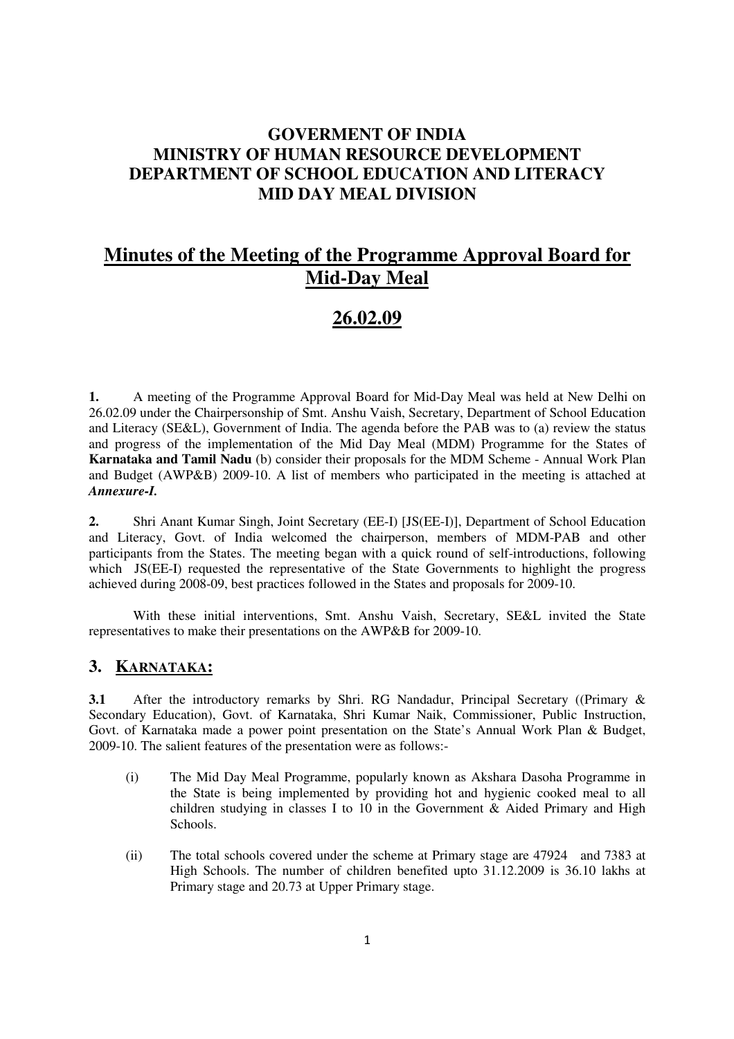## **GOVERMENT OF INDIA MINISTRY OF HUMAN RESOURCE DEVELOPMENT DEPARTMENT OF SCHOOL EDUCATION AND LITERACY MID DAY MEAL DIVISION**

# **Minutes of the Meeting of the Programme Approval Board for Mid-Day Meal**

## **26.02.09**

**1.** A meeting of the Programme Approval Board for Mid-Day Meal was held at New Delhi on 26.02.09 under the Chairpersonship of Smt. Anshu Vaish, Secretary, Department of School Education and Literacy (SE&L), Government of India. The agenda before the PAB was to (a) review the status and progress of the implementation of the Mid Day Meal (MDM) Programme for the States of **Karnataka and Tamil Nadu** (b) consider their proposals for the MDM Scheme - Annual Work Plan and Budget (AWP&B) 2009-10. A list of members who participated in the meeting is attached at *Annexure-I.* 

**2.** Shri Anant Kumar Singh, Joint Secretary (EE-I) [JS(EE-I)], Department of School Education and Literacy, Govt. of India welcomed the chairperson, members of MDM-PAB and other participants from the States. The meeting began with a quick round of self-introductions, following which JS(EE-I) requested the representative of the State Governments to highlight the progress achieved during 2008-09, best practices followed in the States and proposals for 2009-10.

With these initial interventions, Smt. Anshu Vaish, Secretary, SE&L invited the State representatives to make their presentations on the AWP&B for 2009-10.

## **3. KARNATAKA:**

**3.1** After the introductory remarks by Shri. RG Nandadur, Principal Secretary ((Primary & Secondary Education), Govt. of Karnataka, Shri Kumar Naik, Commissioner, Public Instruction, Govt. of Karnataka made a power point presentation on the State's Annual Work Plan & Budget, 2009-10. The salient features of the presentation were as follows:-

- (i) The Mid Day Meal Programme, popularly known as Akshara Dasoha Programme in the State is being implemented by providing hot and hygienic cooked meal to all children studying in classes I to  $10$  in the Government  $\&$  Aided Primary and High Schools.
- (ii) The total schools covered under the scheme at Primary stage are 47924 and 7383 at High Schools. The number of children benefited upto 31.12.2009 is 36.10 lakhs at Primary stage and 20.73 at Upper Primary stage.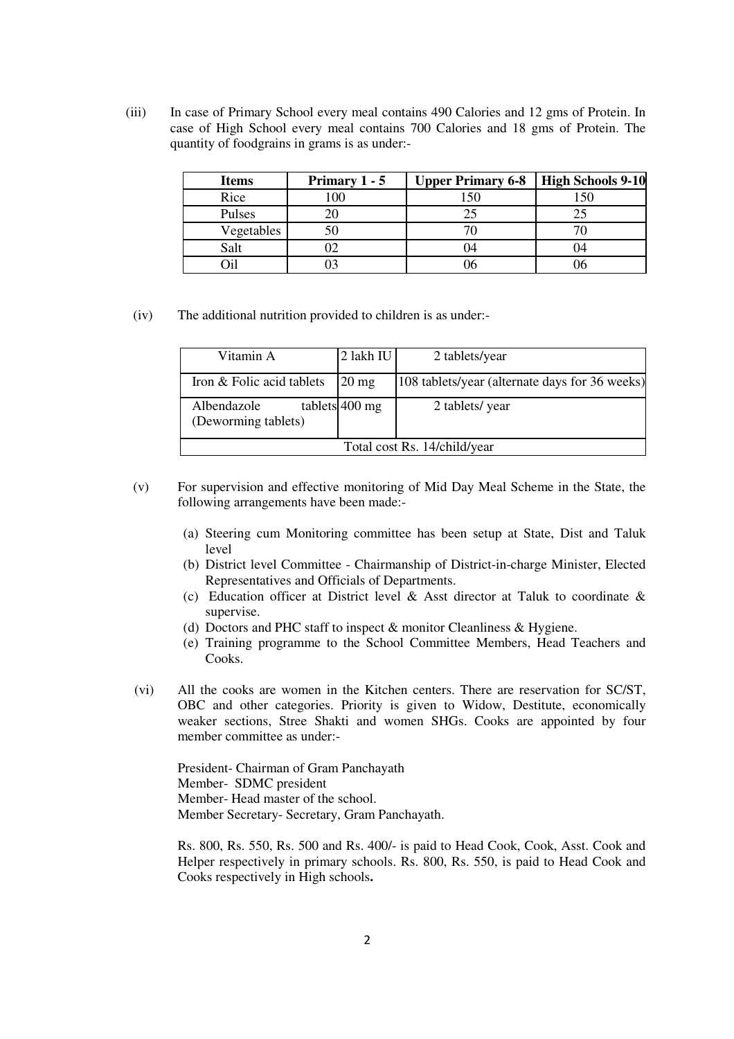(iii) In case of Primary School every meal contains 490 Calories and 12 gms of Protein. In case of High School every meal contains 700 Calories and 18 gms of Protein. The quantity of foodgrains in grams is as under:-

| <b>Items</b> | Primary $1 - 5$ | <b>Upper Primary 6-8</b> | <b>High Schools 9-10</b> |
|--------------|-----------------|--------------------------|--------------------------|
| Rice         | 10C             | 150                      | 150                      |
| Pulses       |                 | 25                       |                          |
| Vegetables   | 50              |                          |                          |
| Salt         |                 | - 14                     | - 14                     |
|              |                 |                          |                          |

(iv) The additional nutrition provided to children is as under:-

| Vitamin A                          | 2 lakh IU       | 2 tablets/year                                 |  |
|------------------------------------|-----------------|------------------------------------------------|--|
| Iron & Folic acid tablets          | $20 \text{ mg}$ | 108 tablets/year (alternate days for 36 weeks) |  |
| Albendazole<br>(Deworming tablets) | tablets 400 mg  | 2 tablets/year                                 |  |
| Total cost Rs. 14/child/year       |                 |                                                |  |

- (v) For supervision and effective monitoring of Mid Day Meal Scheme in the State, the following arrangements have been made:-
	- (a) Steering cum Monitoring committee has been setup at State, Dist and Taluk level
	- (b) District level Committee Chairmanship of District-in-charge Minister, Elected Representatives and Officials of Departments.
	- (c) Education officer at District level  $\&$  Asst director at Taluk to coordinate  $\&$ supervise.
	- (d) Doctors and PHC staff to inspect & monitor Cleanliness & Hygiene.
	- (e) Training programme to the School Committee Members, Head Teachers and Cooks.
- (vi)All the cooks are women in the Kitchen centers. There are reservation for SC/ST, OBC and other categories. Priority is given to Widow, Destitute, economically weaker sections, Stree Shakti and women SHGs. Cooks are appointed by four member committee as under:-

 President- Chairman of Gram Panchayath Member- SDMC president Member- Head master of the school. Member Secretary- Secretary, Gram Panchayath.

 Rs. 800, Rs. 550, Rs. 500 and Rs. 400/- is paid to Head Cook, Cook, Asst. Cook and Helper respectively in primary schools. Rs. 800, Rs. 550, is paid to Head Cook and Cooks respectively in High schools**.**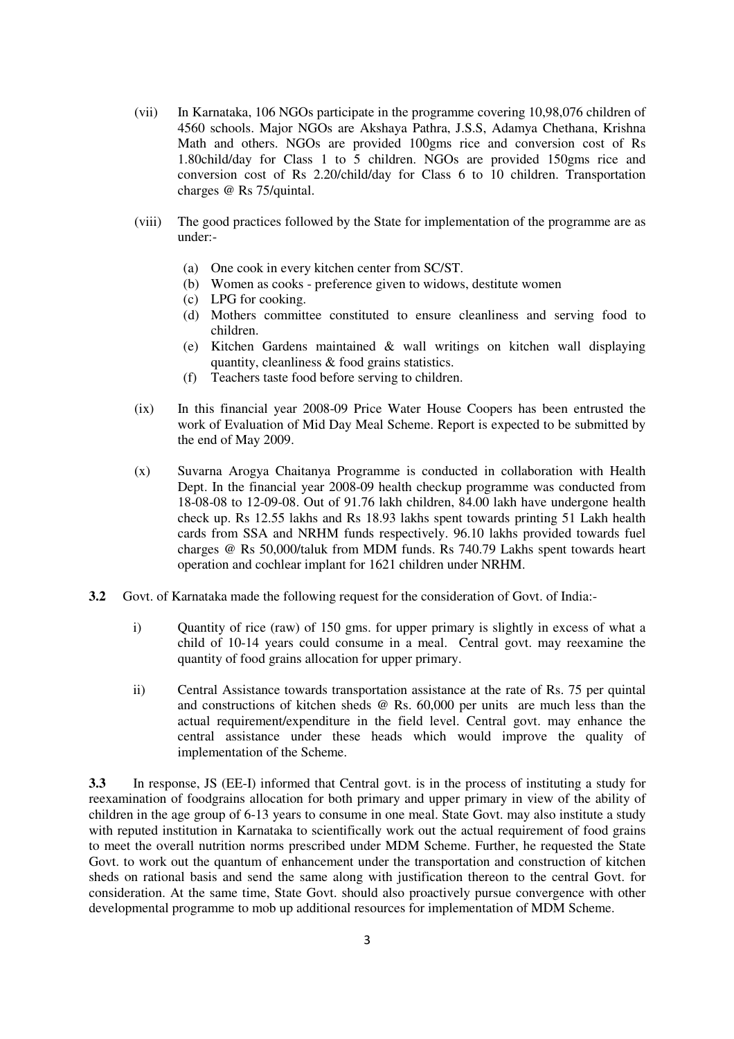- (vii) In Karnataka, 106 NGOs participate in the programme covering 10,98,076 children of 4560 schools. Major NGOs are Akshaya Pathra, J.S.S, Adamya Chethana, Krishna Math and others. NGOs are provided 100gms rice and conversion cost of Rs 1.80child/day for Class 1 to 5 children. NGOs are provided 150gms rice and conversion cost of Rs 2.20/child/day for Class 6 to 10 children. Transportation charges @ Rs 75/quintal.
- (viii) The good practices followed by the State for implementation of the programme are as under:-
	- (a) One cook in every kitchen center from SC/ST.
	- (b) Women as cooks preference given to widows, destitute women
	- (c) LPG for cooking.
	- (d) Mothers committee constituted to ensure cleanliness and serving food to children.
	- (e) Kitchen Gardens maintained & wall writings on kitchen wall displaying quantity, cleanliness & food grains statistics.
	- (f) Teachers taste food before serving to children.
- (ix) In this financial year 2008-09 Price Water House Coopers has been entrusted the work of Evaluation of Mid Day Meal Scheme. Report is expected to be submitted by the end of May 2009.
- (x) Suvarna Arogya Chaitanya Programme is conducted in collaboration with Health Dept. In the financial year 2008-09 health checkup programme was conducted from 18-08-08 to 12-09-08. Out of 91.76 lakh children, 84.00 lakh have undergone health check up. Rs 12.55 lakhs and Rs 18.93 lakhs spent towards printing 51 Lakh health cards from SSA and NRHM funds respectively. 96.10 lakhs provided towards fuel charges @ Rs 50,000/taluk from MDM funds. Rs 740.79 Lakhs spent towards heart operation and cochlear implant for 1621 children under NRHM.
- **3.2** Govt. of Karnataka made the following request for the consideration of Govt. of India:
	- i) Quantity of rice (raw) of 150 gms. for upper primary is slightly in excess of what a child of 10-14 years could consume in a meal. Central govt. may reexamine the quantity of food grains allocation for upper primary.
	- ii) Central Assistance towards transportation assistance at the rate of Rs. 75 per quintal and constructions of kitchen sheds @ Rs. 60,000 per units are much less than the actual requirement/expenditure in the field level. Central govt. may enhance the central assistance under these heads which would improve the quality of implementation of the Scheme.

**3.3** In response, JS (EE-I) informed that Central govt. is in the process of instituting a study for reexamination of foodgrains allocation for both primary and upper primary in view of the ability of children in the age group of 6-13 years to consume in one meal. State Govt. may also institute a study with reputed institution in Karnataka to scientifically work out the actual requirement of food grains to meet the overall nutrition norms prescribed under MDM Scheme. Further, he requested the State Govt. to work out the quantum of enhancement under the transportation and construction of kitchen sheds on rational basis and send the same along with justification thereon to the central Govt. for consideration. At the same time, State Govt. should also proactively pursue convergence with other developmental programme to mob up additional resources for implementation of MDM Scheme.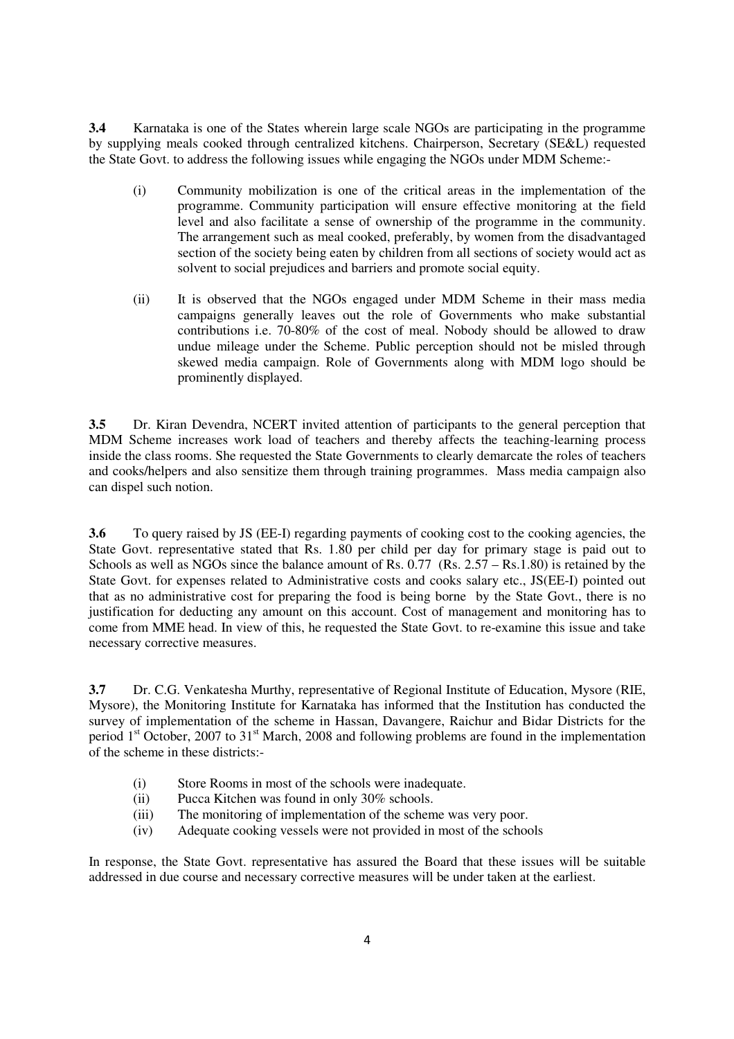**3.4** Karnataka is one of the States wherein large scale NGOs are participating in the programme by supplying meals cooked through centralized kitchens. Chairperson, Secretary (SE&L) requested the State Govt. to address the following issues while engaging the NGOs under MDM Scheme:-

- (i) Community mobilization is one of the critical areas in the implementation of the programme. Community participation will ensure effective monitoring at the field level and also facilitate a sense of ownership of the programme in the community. The arrangement such as meal cooked, preferably, by women from the disadvantaged section of the society being eaten by children from all sections of society would act as solvent to social prejudices and barriers and promote social equity.
- (ii) It is observed that the NGOs engaged under MDM Scheme in their mass media campaigns generally leaves out the role of Governments who make substantial contributions i.e. 70-80% of the cost of meal. Nobody should be allowed to draw undue mileage under the Scheme. Public perception should not be misled through skewed media campaign. Role of Governments along with MDM logo should be prominently displayed.

**3.5** Dr. Kiran Devendra, NCERT invited attention of participants to the general perception that MDM Scheme increases work load of teachers and thereby affects the teaching-learning process inside the class rooms. She requested the State Governments to clearly demarcate the roles of teachers and cooks/helpers and also sensitize them through training programmes. Mass media campaign also can dispel such notion.

**3.6** To query raised by JS (EE-I) regarding payments of cooking cost to the cooking agencies, the State Govt. representative stated that Rs. 1.80 per child per day for primary stage is paid out to Schools as well as NGOs since the balance amount of Rs.  $0.77$  (Rs.  $2.57 - \text{Rs}.1.80$ ) is retained by the State Govt. for expenses related to Administrative costs and cooks salary etc., JS(EE-I) pointed out that as no administrative cost for preparing the food is being borne by the State Govt., there is no justification for deducting any amount on this account. Cost of management and monitoring has to come from MME head. In view of this, he requested the State Govt. to re-examine this issue and take necessary corrective measures.

**3.7** Dr. C.G. Venkatesha Murthy, representative of Regional Institute of Education, Mysore (RIE, Mysore), the Monitoring Institute for Karnataka has informed that the Institution has conducted the survey of implementation of the scheme in Hassan, Davangere, Raichur and Bidar Districts for the period 1<sup>st</sup> October, 2007 to 31<sup>st</sup> March, 2008 and following problems are found in the implementation of the scheme in these districts:-

- (i) Store Rooms in most of the schools were inadequate.
- (ii) Pucca Kitchen was found in only 30% schools.
- (iii) The monitoring of implementation of the scheme was very poor.
- (iv) Adequate cooking vessels were not provided in most of the schools

In response, the State Govt. representative has assured the Board that these issues will be suitable addressed in due course and necessary corrective measures will be under taken at the earliest.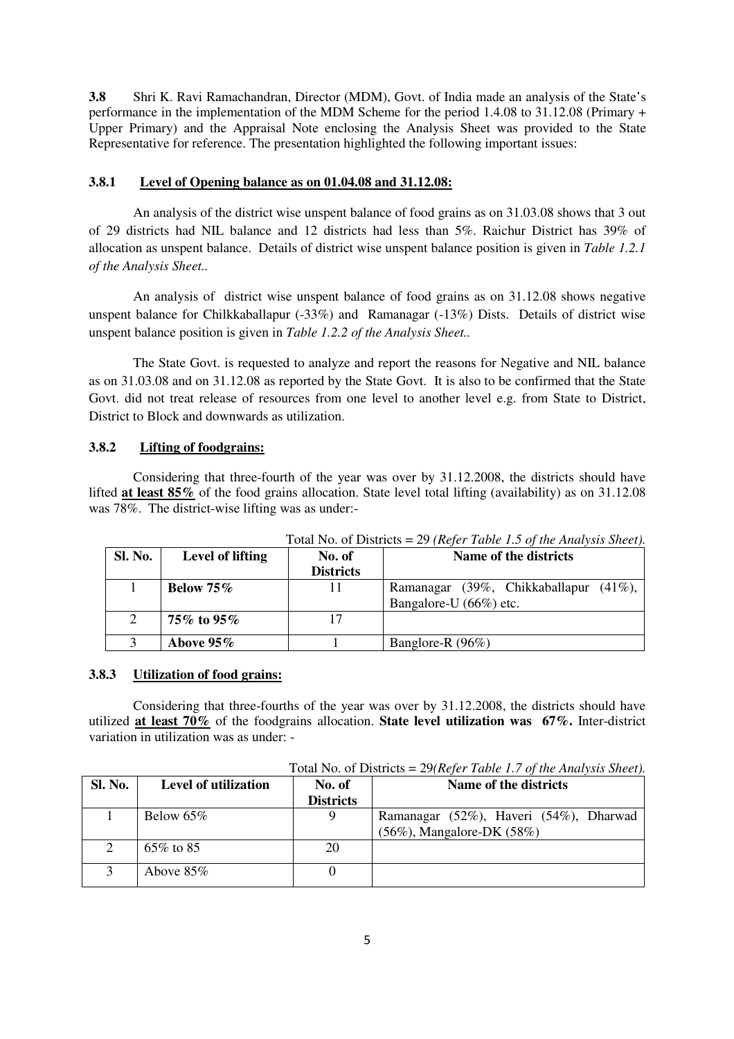**3.8** Shri K. Ravi Ramachandran, Director (MDM), Govt. of India made an analysis of the State's performance in the implementation of the MDM Scheme for the period 1.4.08 to 31.12.08 (Primary + Upper Primary) and the Appraisal Note enclosing the Analysis Sheet was provided to the State Representative for reference. The presentation highlighted the following important issues:

#### **3.8.1 Level of Opening balance as on 01.04.08 and 31.12.08:**

 An analysis of the district wise unspent balance of food grains as on 31.03.08 shows that 3 out of 29 districts had NIL balance and 12 districts had less than 5%. Raichur District has 39% of allocation as unspent balance. Details of district wise unspent balance position is given in *Table 1.2.1 of the Analysis Sheet..* 

 An analysis of district wise unspent balance of food grains as on 31.12.08 shows negative unspent balance for Chilkkaballapur (-33%) and Ramanagar (-13%) Dists. Details of district wise unspent balance position is given in *Table 1.2.2 of the Analysis Sheet..* 

The State Govt. is requested to analyze and report the reasons for Negative and NIL balance as on 31.03.08 and on 31.12.08 as reported by the State Govt. It is also to be confirmed that the State Govt. did not treat release of resources from one level to another level e.g. from State to District, District to Block and downwards as utilization.

#### **3.8.2 Lifting of foodgrains:**

 Considering that three-fourth of the year was over by 31.12.2008, the districts should have lifted **at least 85%** of the food grains allocation. State level total lifting (availability) as on 31.12.08 was 78%. The district-wise lifting was as under:-

| Sl. No. | Level of lifting | No. of<br><b>Districts</b> | Name of the districts                                           |
|---------|------------------|----------------------------|-----------------------------------------------------------------|
|         | Below $75\%$     |                            | Ramanagar (39%, Chikkaballapur (41%),<br>Bangalore-U (66%) etc. |
|         | 75% to 95%       |                            |                                                                 |
|         | Above $95\%$     |                            | Banglore-R (96%)                                                |

Total No. of Districts = 29 *(Refer Table 1.5 of the Analysis Sheet).*

#### **3.8.3 Utilization of food grains:**

 Considering that three-fourths of the year was over by 31.12.2008, the districts should have utilized **at least 70%** of the foodgrains allocation. **State level utilization was 67%.** Inter-district variation in utilization was as under: -

Total No. of Districts = 29*(Refer Table 1.7 of the Analysis Sheet).*

| <b>Sl. No.</b> | Level of utilization | No. of           | Name of the districts                  |
|----------------|----------------------|------------------|----------------------------------------|
|                |                      | <b>Districts</b> |                                        |
|                | Below $65\%$         | 9                | Ramanagar (52%), Haveri (54%), Dharwad |
|                |                      |                  | $(56\%)$ , Mangalore-DK $(58\%)$       |
|                | $65\%$ to 85         | 20               |                                        |
|                | Above $85\%$         |                  |                                        |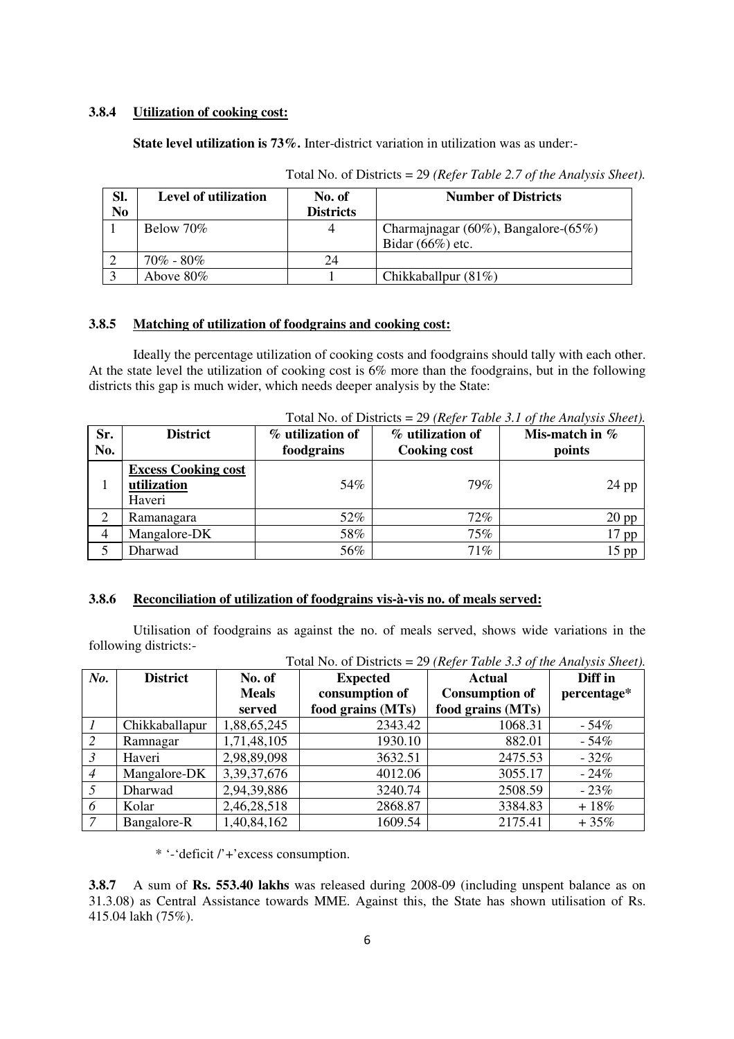#### **3.8.4 Utilization of cooking cost:**

**State level utilization is 73%.** Inter-district variation in utilization was as under:-

| Sl.<br>N <sub>0</sub> | Level of utilization | No. of<br><b>Districts</b> | <b>Number of Districts</b>                  |
|-----------------------|----------------------|----------------------------|---------------------------------------------|
|                       | Below $70\%$         |                            | Charmajnagar $(60\%)$ , Bangalore- $(65\%)$ |
|                       |                      |                            | Bidar $(66%)$ etc.                          |
|                       | $70\%$ - 80%         | 24                         |                                             |
|                       | Above $80\%$         |                            | Chikkaballpur $(81\%)$                      |

Total No. of Districts = 29 *(Refer Table 2.7 of the Analysis Sheet).*

### **3.8.5 Matching of utilization of foodgrains and cooking cost:**

Ideally the percentage utilization of cooking costs and foodgrains should tally with each other. At the state level the utilization of cooking cost is 6% more than the foodgrains, but in the following districts this gap is much wider, which needs deeper analysis by the State:

| Sr.<br>No. | <b>District</b>                                     | % utilization of<br>foodgrains | % utilization of<br><b>Cooking cost</b> | Mis-match in $%$<br>points |
|------------|-----------------------------------------------------|--------------------------------|-----------------------------------------|----------------------------|
|            | <b>Excess Cooking cost</b><br>utilization<br>Haveri | 54%                            | 79%                                     | $24$ pp                    |
| 2          | Ramanagara                                          | 52%                            | $72\%$                                  | $20$ pp                    |
|            | Mangalore-DK                                        | 58%                            | 75%                                     | 17 pp                      |
|            | Dharwad                                             | 56%                            | 71%                                     | $15$ pp                    |

Total No. of Districts = 29 *(Refer Table 3.1 of the Analysis Sheet).*

#### **3.8.6 Reconciliation of utilization of foodgrains vis-à-vis no. of meals served:**

 Utilisation of foodgrains as against the no. of meals served, shows wide variations in the following districts:-

|                | Tutal two. Of Districts $= 22$ (Refer Table 5.5 Of the Analysis Sheet). |                |                   |                       |             |
|----------------|-------------------------------------------------------------------------|----------------|-------------------|-----------------------|-------------|
| $N$ o.         | <b>District</b>                                                         | No. of         | <b>Expected</b>   | <b>Actual</b>         | Diff in     |
|                |                                                                         | <b>Meals</b>   | consumption of    | <b>Consumption of</b> | percentage* |
|                |                                                                         | served         | food grains (MTs) | food grains (MTs)     |             |
|                | Chikkaballapur                                                          | 1,88,65,245    | 2343.42           | 1068.31               | $-54%$      |
| 2              | Ramnagar                                                                | 1,71,48,105    | 1930.10           | 882.01                | $-54\%$     |
| $\mathcal{S}$  | Haveri                                                                  | 2,98,89,098    | 3632.51           | 2475.53               | $-32%$      |
| $\overline{4}$ | Mangalore-DK                                                            | 3, 39, 37, 676 | 4012.06           | 3055.17               | $-24%$      |
| 5              | Dharwad                                                                 | 2,94,39,886    | 3240.74           | 2508.59               | $-23%$      |
| -6             | Kolar                                                                   | 2,46,28,518    | 2868.87           | 3384.83               | $+18%$      |
| 7              | Bangalore-R                                                             | 1,40,84,162    | 1609.54           | 2175.41               | $+35%$      |

Total No. of Districts = 29 *(Refer Table 3.3 of the Analysis Sheet).*

\* '-'deficit /'+'excess consumption.

**3.8.7** A sum of **Rs. 553.40 lakhs** was released during 2008-09 (including unspent balance as on 31.3.08) as Central Assistance towards MME. Against this, the State has shown utilisation of Rs. 415.04 lakh (75%).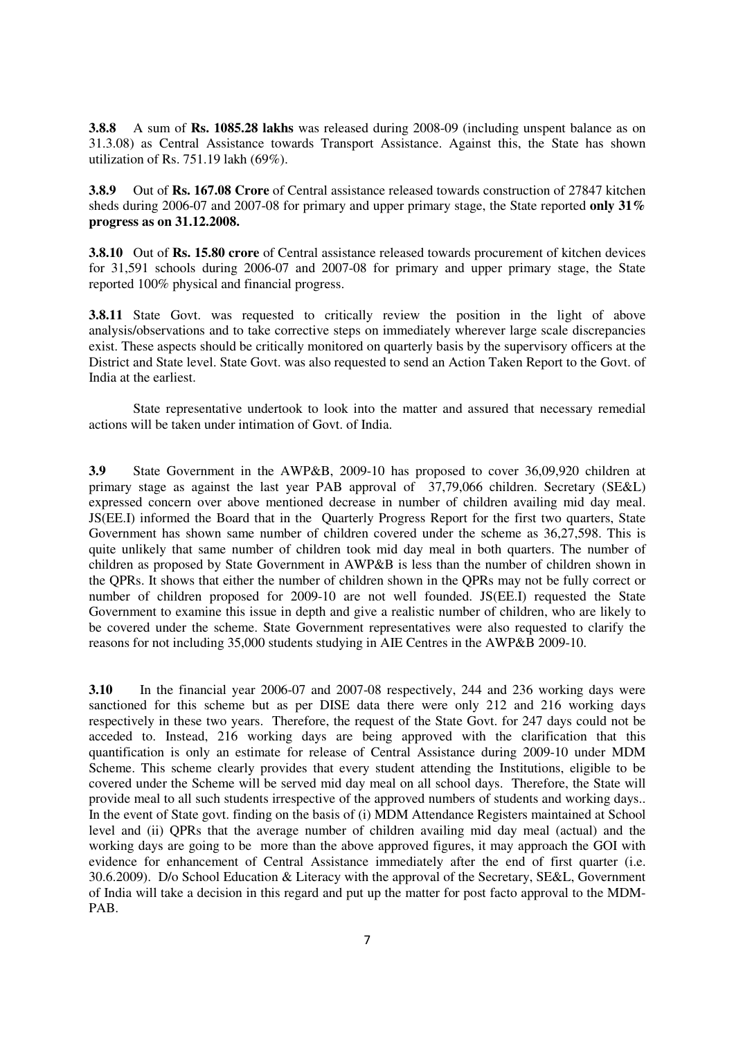**3.8.8** A sum of **Rs. 1085.28 lakhs** was released during 2008-09 (including unspent balance as on 31.3.08) as Central Assistance towards Transport Assistance. Against this, the State has shown utilization of Rs. 751.19 lakh (69%).

**3.8.9** Out of **Rs. 167.08 Crore** of Central assistance released towards construction of 27847 kitchen sheds during 2006-07 and 2007-08 for primary and upper primary stage, the State reported **only 31% progress as on 31.12.2008.**

**3.8.10** Out of **Rs. 15.80 crore** of Central assistance released towards procurement of kitchen devices for 31,591 schools during 2006-07 and 2007-08 for primary and upper primary stage, the State reported 100% physical and financial progress.

**3.8.11** State Govt. was requested to critically review the position in the light of above analysis/observations and to take corrective steps on immediately wherever large scale discrepancies exist. These aspects should be critically monitored on quarterly basis by the supervisory officers at the District and State level. State Govt. was also requested to send an Action Taken Report to the Govt. of India at the earliest.

State representative undertook to look into the matter and assured that necessary remedial actions will be taken under intimation of Govt. of India.

**3.9** State Government in the AWP&B, 2009-10 has proposed to cover 36,09,920 children at primary stage as against the last year PAB approval of 37,79,066 children. Secretary (SE&L) expressed concern over above mentioned decrease in number of children availing mid day meal. JS(EE.I) informed the Board that in the Quarterly Progress Report for the first two quarters, State Government has shown same number of children covered under the scheme as 36,27,598. This is quite unlikely that same number of children took mid day meal in both quarters. The number of children as proposed by State Government in AWP&B is less than the number of children shown in the QPRs. It shows that either the number of children shown in the QPRs may not be fully correct or number of children proposed for 2009-10 are not well founded. JS(EE.I) requested the State Government to examine this issue in depth and give a realistic number of children, who are likely to be covered under the scheme. State Government representatives were also requested to clarify the reasons for not including 35,000 students studying in AIE Centres in the AWP&B 2009-10.

**3.10** In the financial year 2006-07 and 2007-08 respectively, 244 and 236 working days were sanctioned for this scheme but as per DISE data there were only 212 and 216 working days respectively in these two years. Therefore, the request of the State Govt. for 247 days could not be acceded to. Instead, 216 working days are being approved with the clarification that this quantification is only an estimate for release of Central Assistance during 2009-10 under MDM Scheme. This scheme clearly provides that every student attending the Institutions, eligible to be covered under the Scheme will be served mid day meal on all school days. Therefore, the State will provide meal to all such students irrespective of the approved numbers of students and working days.. In the event of State govt. finding on the basis of (i) MDM Attendance Registers maintained at School level and (ii) QPRs that the average number of children availing mid day meal (actual) and the working days are going to be more than the above approved figures, it may approach the GOI with evidence for enhancement of Central Assistance immediately after the end of first quarter (i.e. 30.6.2009). D/o School Education & Literacy with the approval of the Secretary, SE&L, Government of India will take a decision in this regard and put up the matter for post facto approval to the MDM-PAB.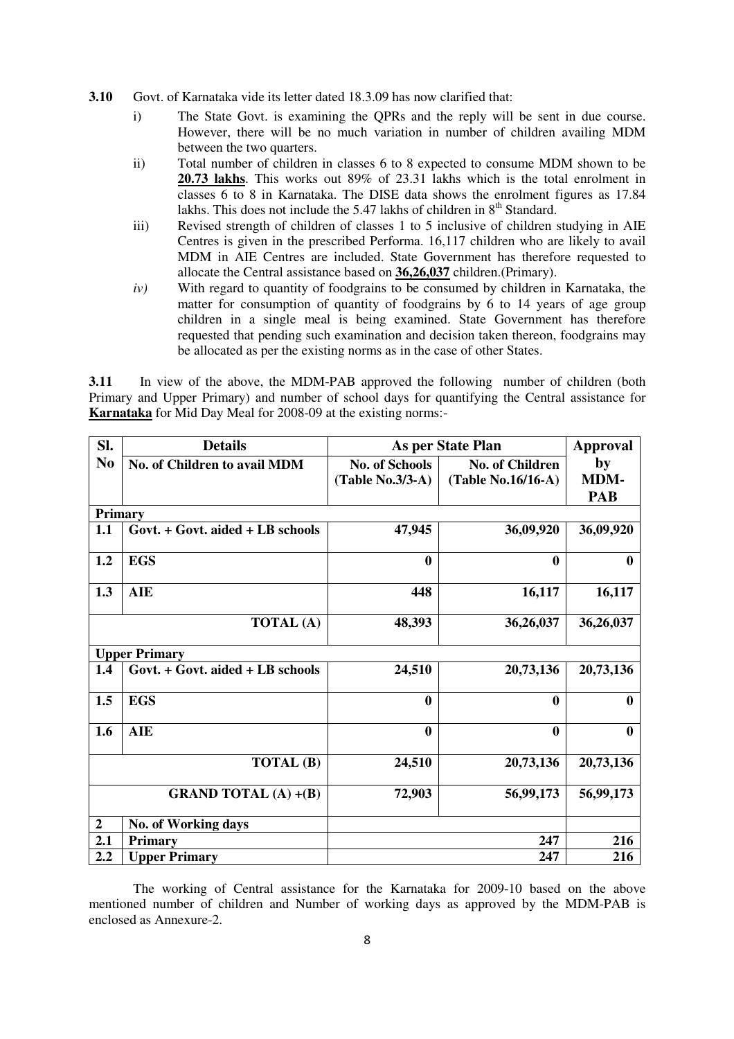- **3.10** Govt. of Karnataka vide its letter dated 18.3.09 has now clarified that:
	- i) The State Govt. is examining the QPRs and the reply will be sent in due course. However, there will be no much variation in number of children availing MDM between the two quarters.
	- ii) Total number of children in classes 6 to 8 expected to consume MDM shown to be **20.73 lakhs**. This works out 89% of 23.31 lakhs which is the total enrolment in classes 6 to 8 in Karnataka. The DISE data shows the enrolment figures as 17.84 lakhs. This does not include the 5.47 lakhs of children in  $8<sup>th</sup>$  Standard.
	- iii) Revised strength of children of classes 1 to 5 inclusive of children studying in AIE Centres is given in the prescribed Performa. 16,117 children who are likely to avail MDM in AIE Centres are included. State Government has therefore requested to allocate the Central assistance based on **36,26,037** children.(Primary).
	- *iv*) With regard to quantity of foodgrains to be consumed by children in Karnataka, the matter for consumption of quantity of foodgrains by 6 to 14 years of age group children in a single meal is being examined. State Government has therefore requested that pending such examination and decision taken thereon, foodgrains may be allocated as per the existing norms as in the case of other States.

**3.11** In view of the above, the MDM-PAB approved the following number of children (both Primary and Upper Primary) and number of school days for quantifying the Central assistance for **Karnataka** for Mid Day Meal for 2008-09 at the existing norms:-

| Sl.              | <b>Details</b>                   | As per State Plan     |                        | Approval         |
|------------------|----------------------------------|-----------------------|------------------------|------------------|
| N <sub>0</sub>   | No. of Children to avail MDM     | <b>No. of Schools</b> | <b>No. of Children</b> | by               |
|                  |                                  | $(Table No.3/3-A)$    | (Table No.16/16-A)     | <b>MDM-</b>      |
|                  |                                  |                       |                        | <b>PAB</b>       |
| Primary          |                                  |                       |                        |                  |
| 1.1              | Govt. + Govt. aided + LB schools | 47,945                | 36,09,920              | 36,09,920        |
| 1.2              | <b>EGS</b>                       | $\bf{0}$              | $\bf{0}$               | $\bf{0}$         |
| 1.3              | <b>AIE</b>                       | 448                   | 16,117                 | 16,117           |
|                  | <b>TOTAL</b> (A)                 | 48,393                | 36,26,037              | 36,26,037        |
|                  | <b>Upper Primary</b>             |                       |                        |                  |
| 1.4              | Govt. + Govt. aided + LB schools | 24,510                | 20,73,136              | 20,73,136        |
| 1.5              | <b>EGS</b>                       | $\bf{0}$              | $\boldsymbol{0}$       | 0                |
| 1.6              | <b>AIE</b>                       | $\bf{0}$              | $\bf{0}$               | $\boldsymbol{0}$ |
|                  | <b>TOTAL</b> (B)                 | 24,510                | 20,73,136              | 20,73,136        |
|                  | <b>GRAND TOTAL</b> (A) $+(B)$    | 72,903                | 56,99,173              | 56,99,173        |
| $\boldsymbol{2}$ | No. of Working days              |                       |                        |                  |
| 2.1              | Primary                          |                       | 247                    | 216              |
| 2.2              | <b>Upper Primary</b>             |                       | 247                    | 216              |

 The working of Central assistance for the Karnataka for 2009-10 based on the above mentioned number of children and Number of working days as approved by the MDM-PAB is enclosed as Annexure-2.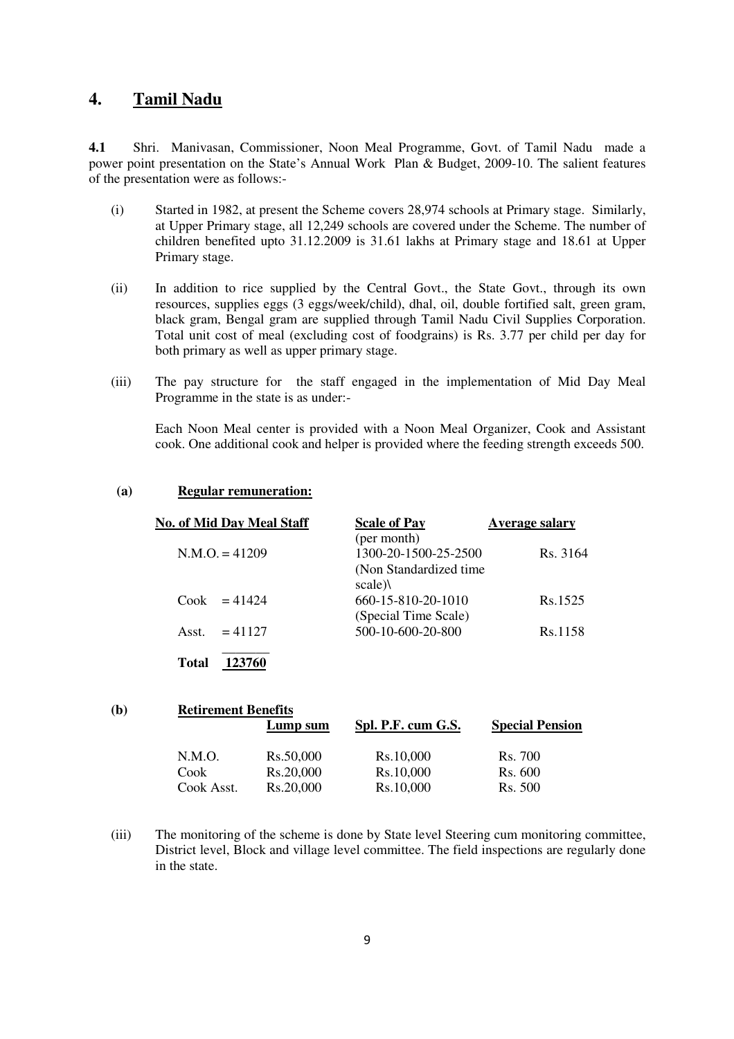## **4. Tamil Nadu**

**4.1** Shri. Manivasan, Commissioner, Noon Meal Programme, Govt. of Tamil Nadu made a power point presentation on the State's Annual Work Plan & Budget, 2009-10. The salient features of the presentation were as follows:-

- (i) Started in 1982, at present the Scheme covers 28,974 schools at Primary stage. Similarly, at Upper Primary stage, all 12,249 schools are covered under the Scheme. The number of children benefited upto 31.12.2009 is 31.61 lakhs at Primary stage and 18.61 at Upper Primary stage.
- (ii) In addition to rice supplied by the Central Govt., the State Govt., through its own resources, supplies eggs (3 eggs/week/child), dhal, oil, double fortified salt, green gram, black gram, Bengal gram are supplied through Tamil Nadu Civil Supplies Corporation. Total unit cost of meal (excluding cost of foodgrains) is Rs. 3.77 per child per day for both primary as well as upper primary stage.
- (iii) The pay structure for the staff engaged in the implementation of Mid Day Meal Programme in the state is as under:-

Each Noon Meal center is provided with a Noon Meal Organizer, Cook and Assistant cook. One additional cook and helper is provided where the feeding strength exceeds 500.

| (a) | <b>Regular remuneration:</b> |
|-----|------------------------------|
|     |                              |

| <b>No. of Mid Day Meal Staff</b> | <b>Scale of Pay</b>     | <b>Average salary</b> |
|----------------------------------|-------------------------|-----------------------|
|                                  | (per month)             |                       |
| $N.M.O. = 41209$                 | 1300-20-1500-25-2500    | Rs. 3164              |
|                                  | (Non Standardized time) |                       |
|                                  | scale)                  |                       |
| $Cook = 41424$                   | 660-15-810-20-1010      | Rs.1525               |
|                                  | (Special Time Scale)    |                       |
| $= 41127$<br>Asst.               | 500-10-600-20-800       | Rs.1158               |
| Total<br>123760                  |                         |                       |

| (b) | <b>Retirement Benefits</b> |           |                    |                        |  |  |
|-----|----------------------------|-----------|--------------------|------------------------|--|--|
|     |                            | Lump sum  | Spl. P.F. cum G.S. | <b>Special Pension</b> |  |  |
|     | N.M.O.                     | Rs.50,000 | Rs.10,000          | Rs. 700                |  |  |
|     | Cook                       | Rs.20,000 | Rs.10,000          | Rs. 600                |  |  |
|     | Cook Asst.                 | Rs.20,000 | Rs.10,000          | Rs. 500                |  |  |

(iii) The monitoring of the scheme is done by State level Steering cum monitoring committee, District level, Block and village level committee. The field inspections are regularly done in the state.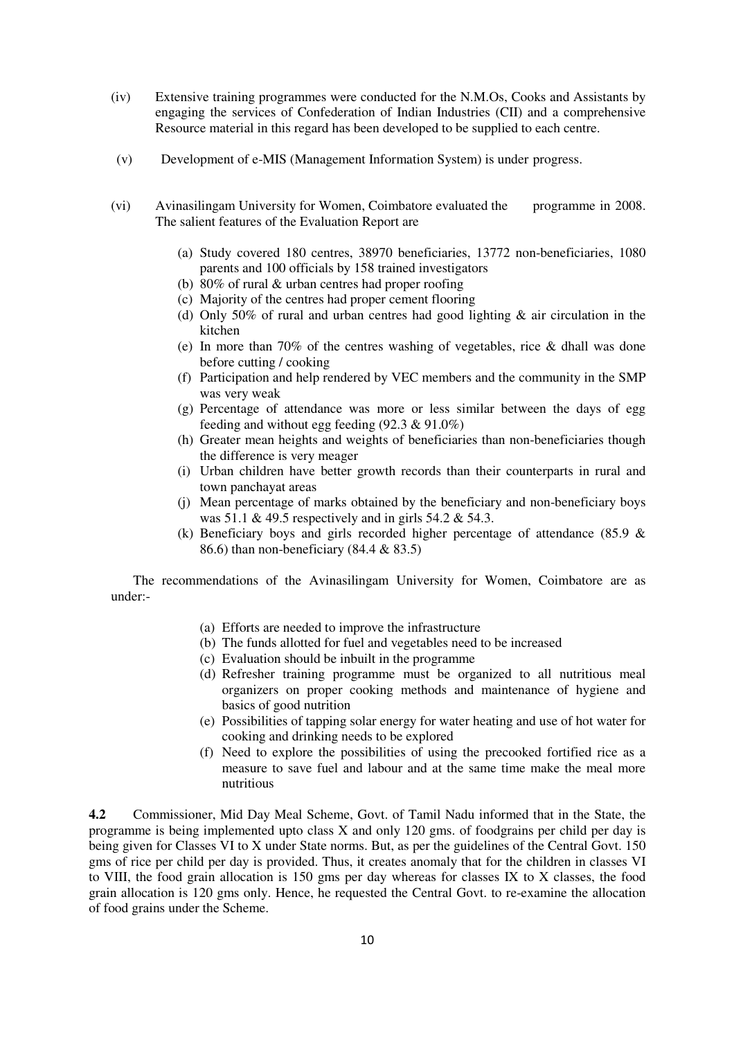- (iv) Extensive training programmes were conducted for the N.M.Os, Cooks and Assistants by engaging the services of Confederation of Indian Industries (CII) and a comprehensive Resource material in this regard has been developed to be supplied to each centre.
- (v) Development of e-MIS (Management Information System) is under progress.
- (vi) Avinasilingam University for Women, Coimbatore evaluated the programme in 2008. The salient features of the Evaluation Report are
	- (a) Study covered 180 centres, 38970 beneficiaries, 13772 non-beneficiaries, 1080 parents and 100 officials by 158 trained investigators
	- (b) 80% of rural & urban centres had proper roofing
	- (c) Majority of the centres had proper cement flooring
	- (d) Only 50% of rural and urban centres had good lighting & air circulation in the kitchen
	- (e) In more than 70% of the centres washing of vegetables, rice & dhall was done before cutting / cooking
	- (f) Participation and help rendered by VEC members and the community in the SMP was very weak
	- (g) Percentage of attendance was more or less similar between the days of egg feeding and without egg feeding (92.3 & 91.0%)
	- (h) Greater mean heights and weights of beneficiaries than non-beneficiaries though the difference is very meager
	- (i) Urban children have better growth records than their counterparts in rural and town panchayat areas
	- (j) Mean percentage of marks obtained by the beneficiary and non-beneficiary boys was  $51.1 \& 49.5$  respectively and in girls  $54.2 \& 54.3$ .
	- (k) Beneficiary boys and girls recorded higher percentage of attendance  $(85.9 \&$ 86.6) than non-beneficiary (84.4 & 83.5)

 The recommendations of the Avinasilingam University for Women, Coimbatore are as under:-

- (a) Efforts are needed to improve the infrastructure
- (b) The funds allotted for fuel and vegetables need to be increased
- (c) Evaluation should be inbuilt in the programme
- (d) Refresher training programme must be organized to all nutritious meal organizers on proper cooking methods and maintenance of hygiene and basics of good nutrition
- (e) Possibilities of tapping solar energy for water heating and use of hot water for cooking and drinking needs to be explored
- (f) Need to explore the possibilities of using the precooked fortified rice as a measure to save fuel and labour and at the same time make the meal more nutritious

**4.2** Commissioner, Mid Day Meal Scheme, Govt. of Tamil Nadu informed that in the State, the programme is being implemented upto class X and only 120 gms. of foodgrains per child per day is being given for Classes VI to X under State norms. But, as per the guidelines of the Central Govt. 150 gms of rice per child per day is provided. Thus, it creates anomaly that for the children in classes VI to VIII, the food grain allocation is 150 gms per day whereas for classes IX to X classes, the food grain allocation is 120 gms only. Hence, he requested the Central Govt. to re-examine the allocation of food grains under the Scheme.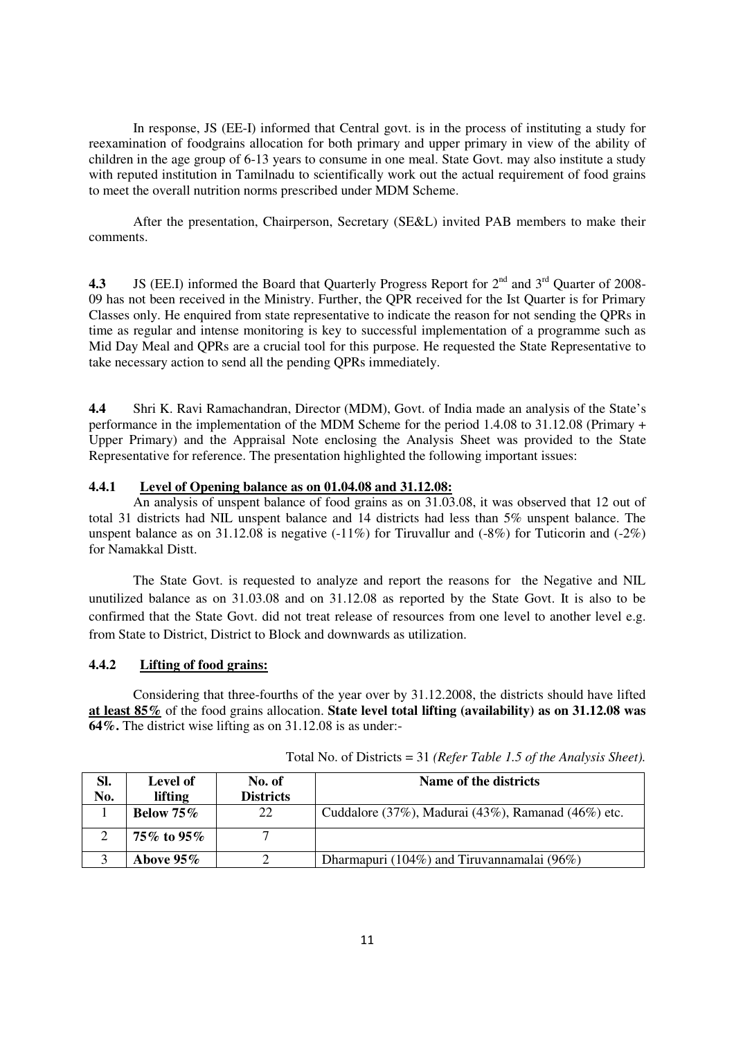In response, JS (EE-I) informed that Central govt. is in the process of instituting a study for reexamination of foodgrains allocation for both primary and upper primary in view of the ability of children in the age group of 6-13 years to consume in one meal. State Govt. may also institute a study with reputed institution in Tamilnadu to scientifically work out the actual requirement of food grains to meet the overall nutrition norms prescribed under MDM Scheme.

After the presentation, Chairperson, Secretary (SE&L) invited PAB members to make their comments.

**4.3** JS (EE.I) informed the Board that Quarterly Progress Report for  $2^{nd}$  and  $3^{rd}$  Quarter of 2008-09 has not been received in the Ministry. Further, the QPR received for the Ist Quarter is for Primary Classes only. He enquired from state representative to indicate the reason for not sending the QPRs in time as regular and intense monitoring is key to successful implementation of a programme such as Mid Day Meal and QPRs are a crucial tool for this purpose. He requested the State Representative to take necessary action to send all the pending QPRs immediately.

**4.4** Shri K. Ravi Ramachandran, Director (MDM), Govt. of India made an analysis of the State's performance in the implementation of the MDM Scheme for the period 1.4.08 to 31.12.08 (Primary + Upper Primary) and the Appraisal Note enclosing the Analysis Sheet was provided to the State Representative for reference. The presentation highlighted the following important issues:

#### **4.4.1 Level of Opening balance as on 01.04.08 and 31.12.08:**

 An analysis of unspent balance of food grains as on 31.03.08, it was observed that 12 out of total 31 districts had NIL unspent balance and 14 districts had less than 5% unspent balance. The unspent balance as on 31.12.08 is negative  $(-11\%)$  for Tiruvallur and  $(-8\%)$  for Tuticorin and  $(-2\%)$ for Namakkal Distt.

The State Govt. is requested to analyze and report the reasons for the Negative and NIL unutilized balance as on 31.03.08 and on 31.12.08 as reported by the State Govt. It is also to be confirmed that the State Govt. did not treat release of resources from one level to another level e.g. from State to District, District to Block and downwards as utilization.

#### **4.4.2 Lifting of food grains:**

 Considering that three-fourths of the year over by 31.12.2008, the districts should have lifted **at least 85%** of the food grains allocation. **State level total lifting (availability) as on 31.12.08 was 64%.** The district wise lifting as on 31.12.08 is as under:-

| SI.<br>No. | Level of<br>lifting | No. of<br><b>Districts</b> | Name of the districts                              |
|------------|---------------------|----------------------------|----------------------------------------------------|
|            | Below $75\%$        | 22                         | Cuddalore (37%), Madurai (43%), Ramanad (46%) etc. |
|            | 75% to 95%          | −                          |                                                    |
|            | Above $95\%$        |                            | Dharmapuri (104%) and Tiruvannamalai (96%)         |

Total No. of Districts = 31 *(Refer Table 1.5 of the Analysis Sheet).*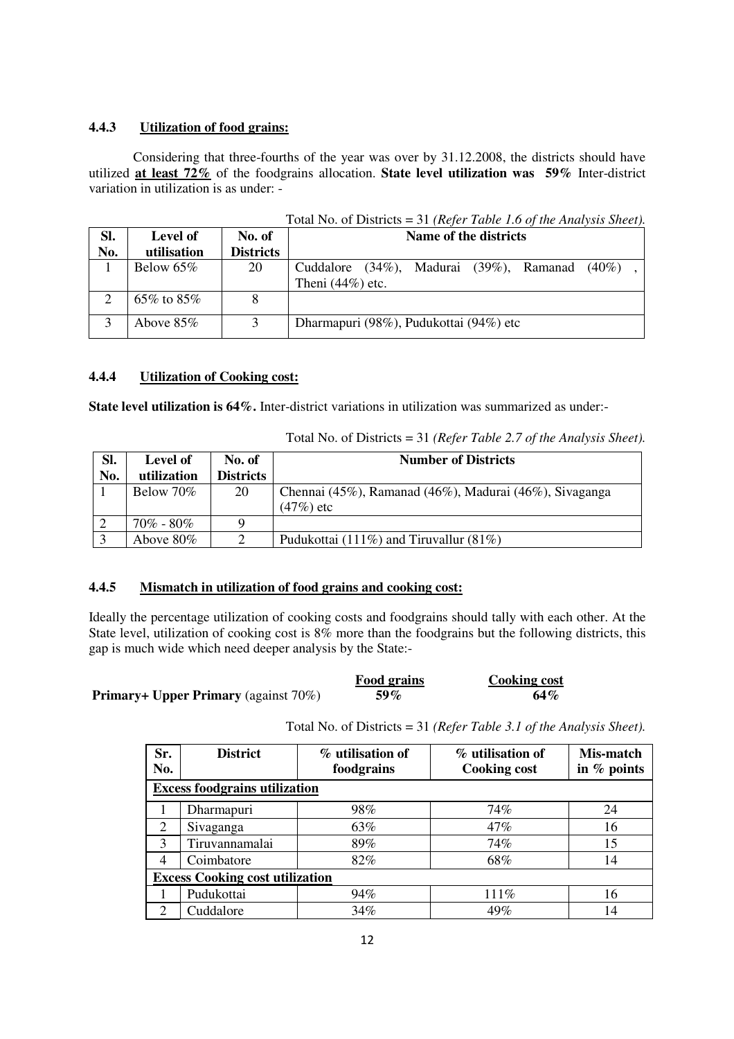## **4.4.3 Utilization of food grains:**

 Considering that three-fourths of the year was over by 31.12.2008, the districts should have utilized **at least 72%** of the foodgrains allocation. **State level utilization was 59%** Inter-district variation in utilization is as under: -

|     | 10001110010111000<br>$5 + 1$ . The state is the state of the state of $5 - 1$ . The state $5 - 1$ is the state of $1$ |                  |                                                                                    |  |  |
|-----|-----------------------------------------------------------------------------------------------------------------------|------------------|------------------------------------------------------------------------------------|--|--|
| Sl. | Level of                                                                                                              | No. of           | Name of the districts                                                              |  |  |
| No. | utilisation                                                                                                           | <b>Districts</b> |                                                                                    |  |  |
|     | Below 65%                                                                                                             | 20               | $(34\%)$ , Madurai $(39\%)$ , Ramanad $(40\%)$<br>Cuddalore<br>Theni $(44\%)$ etc. |  |  |
|     | 65% to 85%                                                                                                            |                  |                                                                                    |  |  |
|     | Above $85\%$                                                                                                          | 3                | Dharmapuri (98%), Pudukottai (94%) etc                                             |  |  |

Total No. of Districts = 31 *(Refer Table 1.6 of the Analysis Sheet).* 

## **4.4.4 Utilization of Cooking cost:**

**State level utilization is 64%.** Inter-district variations in utilization was summarized as under:-

| Sl.<br>No. | Level of<br>utilization | No. of<br><b>Districts</b> | <b>Number of Districts</b>                             |
|------------|-------------------------|----------------------------|--------------------------------------------------------|
|            |                         |                            |                                                        |
|            | Below 70%               | 20                         | Chennai (45%), Ramanad (46%), Madurai (46%), Sivaganga |
|            |                         |                            | $(47%)$ etc                                            |
|            | $70\% - 80\%$           |                            |                                                        |
|            | Above $80\%$            | ∍                          | Pudukottai (111%) and Tiruvallur $(81\%)$              |

Total No. of Districts = 31 *(Refer Table 2.7 of the Analysis Sheet).* 

## **4.4.5 Mismatch in utilization of food grains and cooking cost:**

Ideally the percentage utilization of cooking costs and foodgrains should tally with each other. At the State level, utilization of cooking cost is  $8\%$  more than the foodgrains but the following districts, this gap is much wide which need deeper analysis by the State:-

|                                             | <b>Food grains</b> | <b>Cooking cost</b> |
|---------------------------------------------|--------------------|---------------------|
| <b>Primary+ Upper Primary</b> (against 70%) | $59\%$             | $64\%$              |

Total No. of Districts = 31 *(Refer Table 3.1 of the Analysis Sheet).* 

| Sr.<br>No.                             | <b>District</b> | % utilisation of<br>foodgrains | % utilisation of<br><b>Cooking cost</b> | Mis-match<br>in % points |  |  |
|----------------------------------------|-----------------|--------------------------------|-----------------------------------------|--------------------------|--|--|
| <b>Excess foodgrains utilization</b>   |                 |                                |                                         |                          |  |  |
|                                        | Dharmapuri      | 98%                            | 74%                                     | 24                       |  |  |
| 2                                      | Sivaganga       | 63%                            | 47%                                     | 16                       |  |  |
| 3                                      | Tiruvannamalai  | 89%                            | 74%                                     | 15                       |  |  |
| 4                                      | Coimbatore      | 82%                            | 68%                                     | 14                       |  |  |
| <b>Excess Cooking cost utilization</b> |                 |                                |                                         |                          |  |  |
|                                        | Pudukottai      | 94%                            | 111%                                    | 16                       |  |  |
| 2                                      | Cuddalore       | 34%                            | 49%                                     | 14                       |  |  |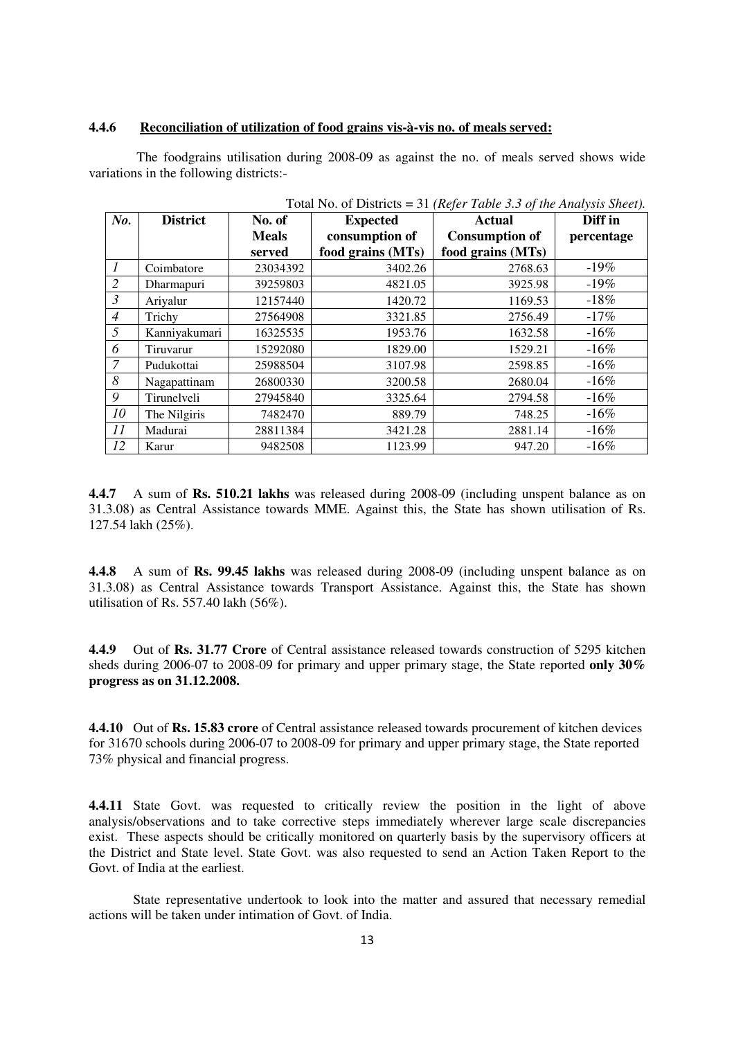#### **4.4.6 Reconciliation of utilization of food grains vis-à-vis no. of meals served:**

 The foodgrains utilisation during 2008-09 as against the no. of meals served shows wide variations in the following districts:-

|                | Total INO. Of Districts $-$ 31 (Refer Table 3.3 0) the Analysis sheet). |              |                   |                       |            |
|----------------|-------------------------------------------------------------------------|--------------|-------------------|-----------------------|------------|
| No.            | <b>District</b>                                                         | No. of       | <b>Expected</b>   | <b>Actual</b>         | Diff in    |
|                |                                                                         | <b>Meals</b> | consumption of    | <b>Consumption of</b> | percentage |
|                |                                                                         | served       | food grains (MTs) | food grains (MTs)     |            |
| $\mathcal{I}$  | Coimbatore                                                              | 23034392     | 3402.26           | 2768.63               | $-19\%$    |
| $\overline{2}$ | Dharmapuri                                                              | 39259803     | 4821.05           | 3925.98               | $-19%$     |
| $\mathfrak{Z}$ | Ariyalur                                                                | 12157440     | 1420.72           | 1169.53               | $-18%$     |
| $\overline{4}$ | Trichy                                                                  | 27564908     | 3321.85           | 2756.49               | $-17%$     |
| 5              | Kanniyakumari                                                           | 16325535     | 1953.76           | 1632.58               | $-16%$     |
| 6              | Tiruvarur                                                               | 15292080     | 1829.00           | 1529.21               | $-16%$     |
| 7              | Pudukottai                                                              | 25988504     | 3107.98           | 2598.85               | $-16\%$    |
| 8              | Nagapattinam                                                            | 26800330     | 3200.58           | 2680.04               | $-16\%$    |
| 9              | Tirunelveli                                                             | 27945840     | 3325.64           | 2794.58               | $-16\%$    |
| 10             | The Nilgiris                                                            | 7482470      | 889.79            | 748.25                | $-16\%$    |
| 11             | Madurai                                                                 | 28811384     | 3421.28           | 2881.14               | $-16\%$    |
| 12             | Karur                                                                   | 9482508      | 1123.99           | 947.20                | $-16%$     |

Total No. of Districts = 31 *(Refer Table 3.3 of the Analysis Sheet).* 

**4.4.7** A sum of **Rs. 510.21 lakhs** was released during 2008-09 (including unspent balance as on 31.3.08) as Central Assistance towards MME. Against this, the State has shown utilisation of Rs. 127.54 lakh (25%).

**4.4.8** A sum of **Rs. 99.45 lakhs** was released during 2008-09 (including unspent balance as on 31.3.08) as Central Assistance towards Transport Assistance. Against this, the State has shown utilisation of Rs. 557.40 lakh (56%).

**4.4.9** Out of **Rs. 31.77 Crore** of Central assistance released towards construction of 5295 kitchen sheds during 2006-07 to 2008-09 for primary and upper primary stage, the State reported **only 30% progress as on 31.12.2008.**

**4.4.10** Out of **Rs. 15.83 crore** of Central assistance released towards procurement of kitchen devices for 31670 schools during 2006-07 to 2008-09 for primary and upper primary stage, the State reported 73% physical and financial progress.

**4.4.11** State Govt. was requested to critically review the position in the light of above analysis/observations and to take corrective steps immediately wherever large scale discrepancies exist. These aspects should be critically monitored on quarterly basis by the supervisory officers at the District and State level. State Govt. was also requested to send an Action Taken Report to the Govt. of India at the earliest.

State representative undertook to look into the matter and assured that necessary remedial actions will be taken under intimation of Govt. of India.